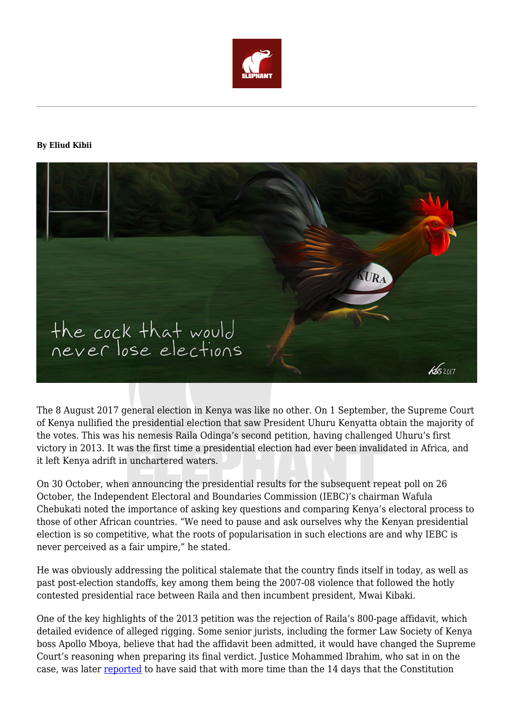

### **By Eliud Kibii**



The 8 August 2017 general election in Kenya was like no other. On 1 September, the Supreme Court of Kenya nullified the presidential election that saw President Uhuru Kenyatta obtain the majority of the votes. This was his nemesis Raila Odinga's second petition, having challenged Uhuru's first victory in 2013. It was the first time a presidential election had ever been invalidated in Africa, and it left Kenya adrift in unchartered waters.

On 30 October, when announcing the presidential results for the subsequent repeat poll on 26 October, the Independent Electoral and Boundaries Commission (IEBC)'s chairman Wafula Chebukati noted the importance of asking key questions and comparing Kenya's electoral process to those of other African countries. "We need to pause and ask ourselves why the Kenyan presidential election is so competitive, what the roots of popularisation in such elections are and why IEBC is never perceived as a fair umpire," he stated.

He was obviously addressing the political stalemate that the country finds itself in today, as well as past post-election standoffs, key among them being the 2007-08 violence that followed the hotly contested presidential race between Raila and then incumbent president, Mwai Kibaki.

One of the key highlights of the 2013 petition was the rejection of Raila's 800-page affidavit, which detailed evidence of alleged rigging. Some senior jurists, including the former Law Society of Kenya boss Apollo Mboya, believe that had the affidavit been admitted, it would have changed the Supreme Court's reasoning when preparing its final verdict. Justice Mohammed Ibrahim, who sat in on the case, was later [reported](http://www.nation.co.ke/oped/Opinion/Supreme+Court+debate+wont+just+go+away+/-/440808/1992794/-/tgpg5t/-/index.html) to have said that with more time than the 14 days that the Constitution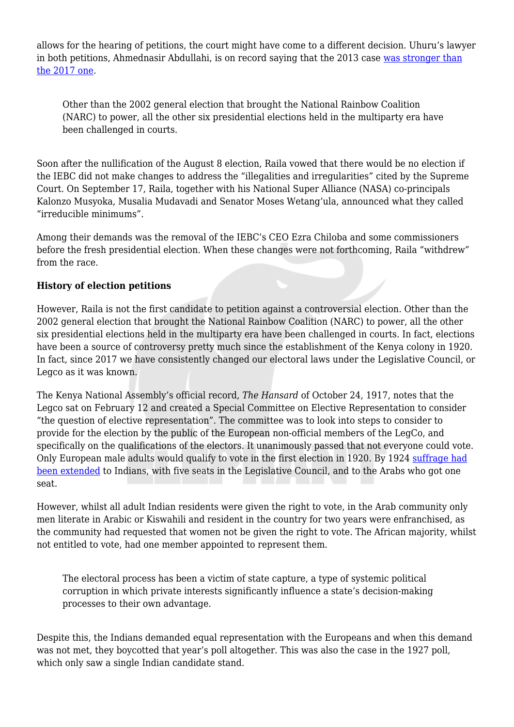allows for the hearing of petitions, the court might have come to a different decision. Uhuru's lawyer in both petitions, Ahmednasir Abdullahi, is on record saying that the 2013 case [was stronger than](http://zipo.co.ke/24181/raila-2013-petition-much-stronger-2017s-grand-mullah/) [the 2017 one](http://zipo.co.ke/24181/raila-2013-petition-much-stronger-2017s-grand-mullah/).

Other than the 2002 general election that brought the National Rainbow Coalition (NARC) to power, all the other six presidential elections held in the multiparty era have been challenged in courts.

Soon after the nullification of the August 8 election, Raila vowed that there would be no election if the IEBC did not make changes to address the "illegalities and irregularities" cited by the Supreme Court. On September 17, Raila, together with his National Super Alliance (NASA) co-principals Kalonzo Musyoka, Musalia Mudavadi and Senator Moses Wetang'ula, announced what they called "irreducible minimums".

Among their demands was the removal of the IEBC's CEO Ezra Chiloba and some commissioners before the fresh presidential election. When these changes were not forthcoming, Raila "withdrew" from the race.

## **History of election petitions**

However, Raila is not the first candidate to petition against a controversial election. Other than the 2002 general election that brought the National Rainbow Coalition (NARC) to power, all the other six presidential elections held in the multiparty era have been challenged in courts. In fact, elections have been a source of controversy pretty much since the establishment of the Kenya colony in 1920. In fact, since 2017 we have consistently changed our electoral laws under the Legislative Council, or Legco as it was known.

The Kenya National Assembly's official record, *The Hansard* of October 24, 1917, notes that the Legco sat on February 12 and created a Special Committee on Elective Representation to consider "the question of elective representation". The committee was to look into steps to consider to provide for the election by the public of the European non-official members of the LegCo, and specifically on the qualifications of the electors. It unanimously passed that not everyone could vote. Only European male adults would qualify to vote in the first election in 1920. By 1924 [suffrage had](https://en.wikipedia.org/wiki/Kenyan_general_election,_1924) [been extended](https://en.wikipedia.org/wiki/Kenyan_general_election,_1924) to Indians, with five seats in the Legislative Council, and to the Arabs who got one seat.

However, whilst all adult Indian residents were given the right to vote, in the Arab community only men literate in Arabic or Kiswahili and resident in the country for two years were enfranchised, as the community had requested that women not be given the right to vote. The African majority, whilst not entitled to vote, had one member appointed to represent them.

The electoral process has been a victim of state capture, a type of systemic political corruption in which private interests significantly influence a state's decision-making processes to their own advantage.

Despite this, the Indians demanded equal representation with the Europeans and when this demand was not met, they boycotted that year's poll altogether. This was also the case in the 1927 poll, which only saw a single Indian candidate stand.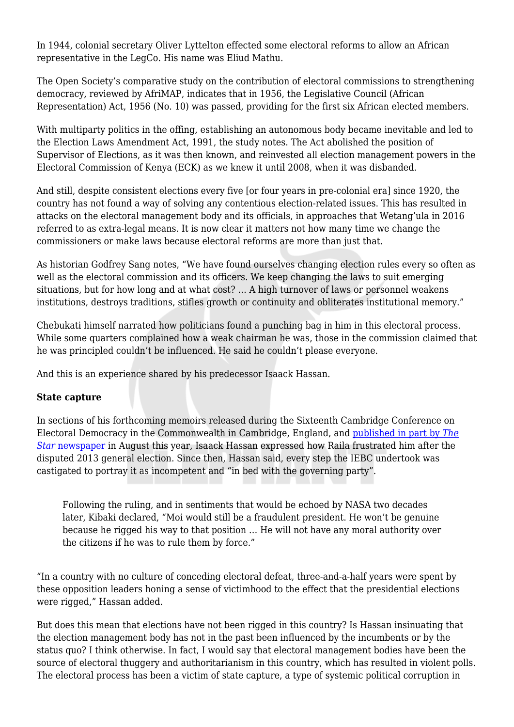In 1944, colonial secretary Oliver Lyttelton effected some electoral reforms to allow an African representative in the LegCo. His name was Eliud Mathu.

The Open Society's comparative study on the contribution of electoral commissions to strengthening democracy, reviewed by AfriMAP, indicates that in 1956, the Legislative Council (African Representation) Act, 1956 (No. 10) was passed, providing for the first six African elected members.

With multiparty politics in the offing, establishing an autonomous body became inevitable and led to the Election Laws Amendment Act, 1991, the study notes. The Act abolished the position of Supervisor of Elections, as it was then known, and reinvested all election management powers in the Electoral Commission of Kenya (ECK) as we knew it until 2008, when it was disbanded.

And still, despite consistent elections every five [or four years in pre-colonial era] since 1920, the country has not found a way of solving any contentious election-related issues. This has resulted in attacks on the electoral management body and its officials, in approaches that Wetang'ula in 2016 referred to as extra-legal means. It is now clear it matters not how many time we change the commissioners or make laws because electoral reforms are more than just that.

As historian Godfrey Sang notes, "We have found ourselves changing election rules every so often as well as the electoral commission and its officers. We keep changing the laws to suit emerging situations, but for how long and at what cost? … A high turnover of laws or personnel weakens institutions, destroys traditions, stifles growth or continuity and obliterates institutional memory."

Chebukati himself narrated how politicians found a punching bag in him in this electoral process. While some quarters complained how a weak chairman he was, those in the commission claimed that he was principled couldn't be influenced. He said he couldn't please everyone.

And this is an experience shared by his predecessor Isaack Hassan.

## **State capture**

In sections of his forthcoming memoirs released during the Sixteenth Cambridge Conference on Electoral Democracy in the Commonwealth in Cambridge, England, and [published in part by](http://www.the-star.co.ke/news/2017/08/21/my-battles-with-raila-issack-hassan-opens-up_c1619923) *[The](http://www.the-star.co.ke/news/2017/08/21/my-battles-with-raila-issack-hassan-opens-up_c1619923) [Star](http://www.the-star.co.ke/news/2017/08/21/my-battles-with-raila-issack-hassan-opens-up_c1619923)* [newspaper](http://www.the-star.co.ke/news/2017/08/21/my-battles-with-raila-issack-hassan-opens-up_c1619923) in August this year, Isaack Hassan expressed how Raila frustrated him after the disputed 2013 general election. Since then, Hassan said, every step the IEBC undertook was castigated to portray it as incompetent and "in bed with the governing party".

Following the ruling, and in sentiments that would be echoed by NASA two decades later, Kibaki declared, "Moi would still be a fraudulent president. He won't be genuine because he rigged his way to that position … He will not have any moral authority over the citizens if he was to rule them by force."

"In a country with no culture of conceding electoral defeat, three-and-a-half years were spent by these opposition leaders honing a sense of victimhood to the effect that the presidential elections were rigged," Hassan added.

But does this mean that elections have not been rigged in this country? Is Hassan insinuating that the election management body has not in the past been influenced by the incumbents or by the status quo? I think otherwise. In fact, I would say that electoral management bodies have been the source of electoral thuggery and authoritarianism in this country, which has resulted in violent polls. The electoral process has been a victim of state capture, a type of systemic political corruption in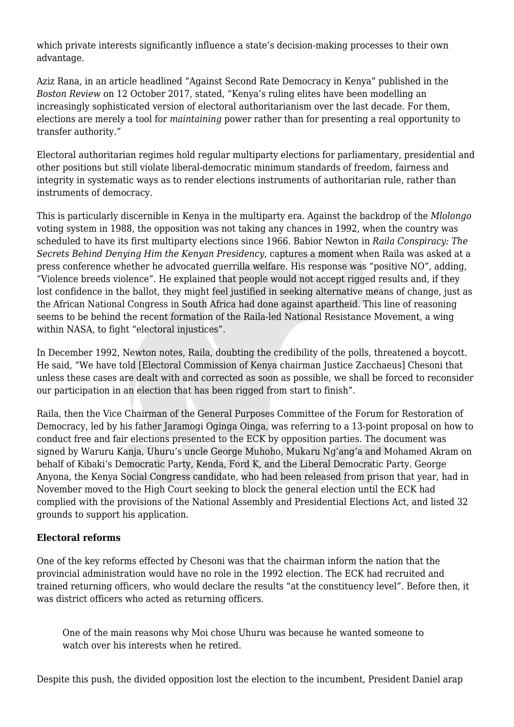which private interests significantly influence a state's decision-making processes to their own advantage.

Aziz Rana, in an article headlined "Against Second Rate Democracy in Kenya" published in the *Boston Review* on 12 October 2017, stated, "Kenya's ruling elites have been modelling an increasingly sophisticated version of electoral authoritarianism over the last decade. For them, elections are merely a tool for *maintaining* power rather than for presenting a real opportunity to transfer authority."

Electoral authoritarian regimes hold regular multiparty elections for parliamentary, presidential and other positions but still violate liberal-democratic minimum standards of freedom, fairness and integrity in systematic ways as to render elections instruments of authoritarian rule, rather than instruments of democracy.

This is particularly discernible in Kenya in the multiparty era. Against the backdrop of the *Mlolongo* voting system in 1988, the opposition was not taking any chances in 1992, when the country was scheduled to have its first multiparty elections since 1966. Babior Newton in *Raila Conspiracy: The Secrets Behind Denying Him the Kenyan Presidency*, captures a moment when Raila was asked at a press conference whether he advocated guerrilla welfare. His response was "positive NO", adding, "Violence breeds violence". He explained that people would not accept rigged results and, if they lost confidence in the ballot, they might feel justified in seeking alternative means of change, just as the African National Congress in South Africa had done against apartheid. This line of reasoning seems to be behind the recent formation of the Raila-led National Resistance Movement, a wing within NASA, to fight "electoral injustices".

In December 1992, Newton notes, Raila, doubting the credibility of the polls, threatened a boycott. He said, "We have told [Electoral Commission of Kenya chairman Justice Zacchaeus] Chesoni that unless these cases are dealt with and corrected as soon as possible, we shall be forced to reconsider our participation in an election that has been rigged from start to finish".

Raila, then the Vice Chairman of the General Purposes Committee of the Forum for Restoration of Democracy, led by his father Jaramogi Oginga Oinga, was referring to a 13-point proposal on how to conduct free and fair elections presented to the ECK by opposition parties. The document was signed by Waruru Kanja, Uhuru's uncle George Muhoho, Mukaru Ng'ang'a and Mohamed Akram on behalf of Kibaki's Democratic Party, Kenda, Ford K, and the Liberal Democratic Party. George Anyona, the Kenya Social Congress candidate, who had been released from prison that year, had in November moved to the High Court seeking to block the general election until the ECK had complied with the provisions of the National Assembly and Presidential Elections Act, and listed 32 grounds to support his application.

## **Electoral reforms**

One of the key reforms effected by Chesoni was that the chairman inform the nation that the provincial administration would have no role in the 1992 election. The ECK had recruited and trained returning officers, who would declare the results "at the constituency level". Before then, it was district officers who acted as returning officers.

One of the main reasons why Moi chose Uhuru was because he wanted someone to watch over his interests when he retired.

Despite this push, the divided opposition lost the election to the incumbent, President Daniel arap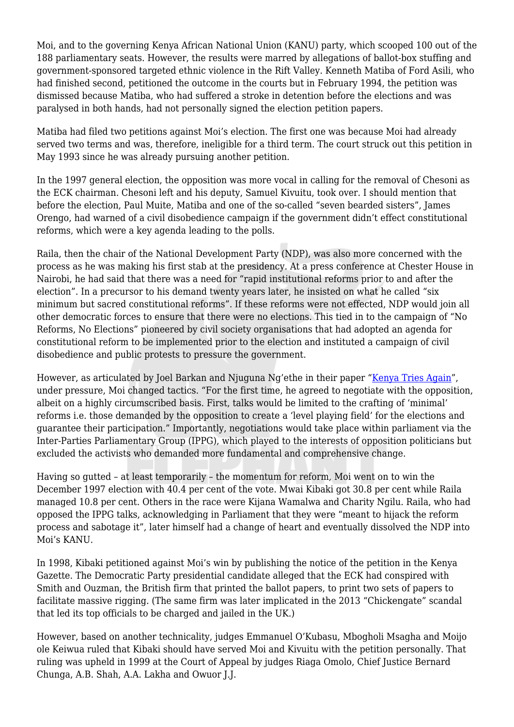Moi, and to the governing Kenya African National Union (KANU) party, which scooped 100 out of the 188 parliamentary seats. However, the results were marred by allegations of ballot-box stuffing and government-sponsored targeted ethnic violence in the Rift Valley. Kenneth Matiba of Ford Asili, who had finished second, petitioned the outcome in the courts but in February 1994, the petition was dismissed because Matiba, who had suffered a stroke in detention before the elections and was paralysed in both hands, had not personally signed the election petition papers.

Matiba had filed two petitions against Moi's election. The first one was because Moi had already served two terms and was, therefore, ineligible for a third term. The court struck out this petition in May 1993 since he was already pursuing another petition.

In the 1997 general election, the opposition was more vocal in calling for the removal of Chesoni as the ECK chairman. Chesoni left and his deputy, Samuel Kivuitu, took over. I should mention that before the election, Paul Muite, Matiba and one of the so-called "seven bearded sisters", James Orengo, had warned of a civil disobedience campaign if the government didn't effect constitutional reforms, which were a key agenda leading to the polls.

Raila, then the chair of the National Development Party (NDP), was also more concerned with the process as he was making his first stab at the presidency. At a press conference at Chester House in Nairobi, he had said that there was a need for "rapid institutional reforms prior to and after the election". In a precursor to his demand twenty years later, he insisted on what he called "six minimum but sacred constitutional reforms". If these reforms were not effected, NDP would join all other democratic forces to ensure that there were no elections. This tied in to the campaign of "No Reforms, No Elections" pioneered by civil society organisations that had adopted an agenda for constitutional reform to be implemented prior to the election and instituted a campaign of civil disobedience and public protests to pressure the government.

However, as articulated by Joel Barkan and Njuguna Ng'ethe in their paper ["Kenya Tries Again"](http://faculty.vassar.edu/tilongma/barkan&ngethe.html), under pressure, Moi changed tactics. "For the first time, he agreed to negotiate with the opposition, albeit on a highly circumscribed basis. First, talks would be limited to the crafting of 'minimal' reforms i.e. those demanded by the opposition to create a 'level playing field' for the elections and guarantee their participation." Importantly, negotiations would take place within parliament via the Inter-Parties Parliamentary Group (IPPG), which played to the interests of opposition politicians but excluded the activists who demanded more fundamental and comprehensive change.

Having so gutted – at least temporarily – the momentum for reform, Moi went on to win the December 1997 election with 40.4 per cent of the vote. Mwai Kibaki got 30.8 per cent while Raila managed 10.8 per cent. Others in the race were Kijana Wamalwa and Charity Ngilu. Raila, who had opposed the IPPG talks, acknowledging in Parliament that they were "meant to hijack the reform process and sabotage it", later himself had a change of heart and eventually dissolved the NDP into Moi's KANU.

In 1998, Kibaki petitioned against Moi's win by publishing the notice of the petition in the Kenya Gazette. The Democratic Party presidential candidate alleged that the ECK had conspired with Smith and Ouzman, the British firm that printed the ballot papers, to print two sets of papers to facilitate massive rigging. (The same firm was later implicated in the 2013 "Chickengate" scandal that led its top officials to be charged and jailed in the UK.)

However, based on another technicality, judges Emmanuel O'Kubasu, Mbogholi Msagha and Moijo ole Keiwua ruled that Kibaki should have served Moi and Kivuitu with the petition personally. That ruling was upheld in 1999 at the Court of Appeal by judges Riaga Omolo, Chief Justice Bernard Chunga, A.B. Shah, A.A. Lakha and Owuor J.J.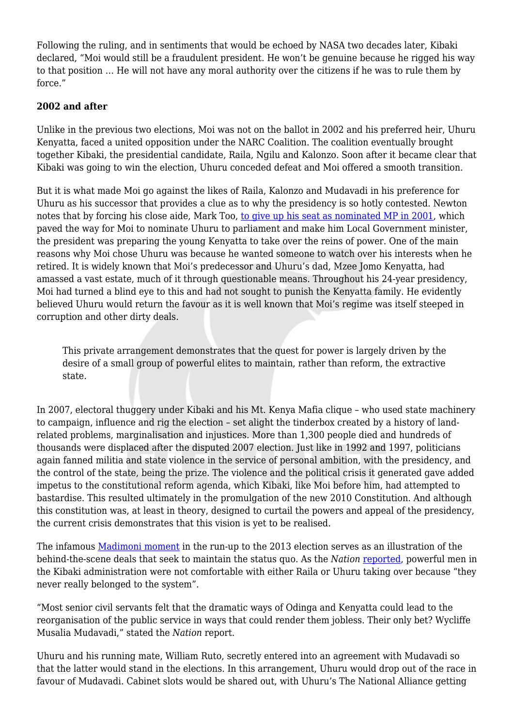Following the ruling, and in sentiments that would be echoed by NASA two decades later, Kibaki declared, "Moi would still be a fraudulent president. He won't be genuine because he rigged his way to that position … He will not have any moral authority over the citizens if he was to rule them by force."

# **2002 and after**

Unlike in the previous two elections, Moi was not on the ballot in 2002 and his preferred heir, Uhuru Kenyatta, faced a united opposition under the NARC Coalition. The coalition eventually brought together Kibaki, the presidential candidate, Raila, Ngilu and Kalonzo. Soon after it became clear that Kibaki was going to win the election, Uhuru conceded defeat and Moi offered a smooth transition.

But it is what made Moi go against the likes of Raila, Kalonzo and Mudavadi in his preference for Uhuru as his successor that provides a clue as to why the presidency is so hotly contested. Newton notes that by forcing his close aide, Mark Too, [to give up his seat as nominated MP in 2001](https://www.capitalfm.co.ke/news/2017/01/mark-kick-started-political-career-uhuru/), which paved the way for Moi to nominate Uhuru to parliament and make him Local Government minister, the president was preparing the young Kenyatta to take over the reins of power. One of the main reasons why Moi chose Uhuru was because he wanted someone to watch over his interests when he retired. It is widely known that Moi's predecessor and Uhuru's dad, Mzee Jomo Kenyatta, had amassed a vast estate, much of it through questionable means. Throughout his 24-year presidency, Moi had turned a blind eye to this and had not sought to punish the Kenyatta family. He evidently believed Uhuru would return the favour as it is well known that Moi's regime was itself steeped in corruption and other dirty deals.

This private arrangement demonstrates that the quest for power is largely driven by the desire of a small group of powerful elites to maintain, rather than reform, the extractive state.

In 2007, electoral thuggery under Kibaki and his Mt. Kenya Mafia clique – who used state machinery to campaign, influence and rig the election – set alight the tinderbox created by a history of landrelated problems, marginalisation and injustices. More than 1,300 people died and hundreds of thousands were displaced after the disputed 2007 election. Just like in 1992 and 1997, politicians again fanned militia and state violence in the service of personal ambition, with the presidency, and the control of the state, being the prize. The violence and the political crisis it generated gave added impetus to the constitutional reform agenda, which Kibaki, like Moi before him, had attempted to bastardise. This resulted ultimately in the promulgation of the new 2010 Constitution. And although this constitution was, at least in theory, designed to curtail the powers and appeal of the presidency, the current crisis demonstrates that this vision is yet to be realised.

The infamous [Madimoni moment](https://www.standardmedia.co.ke/article/2000084486/how-president-uhuru-kenyatta-fell-out-with-udf-leader-musalia-mudavadi) in the run-up to the 2013 election serves as an illustration of the behind-the-scene deals that seek to maintain the status quo. As the *Nation* [reported](http://mobile.nation.co.ke/news/politics/How-Mudavadi-fell-prey-to-Uhuruto-power-schemes/3126390-2531886-format-xhtml-nibgujz/index.html), powerful men in the Kibaki administration were not comfortable with either Raila or Uhuru taking over because "they never really belonged to the system".

"Most senior civil servants felt that the dramatic ways of Odinga and Kenyatta could lead to the reorganisation of the public service in ways that could render them jobless. Their only bet? Wycliffe Musalia Mudavadi," stated the *Nation* report.

Uhuru and his running mate, William Ruto, secretly entered into an agreement with Mudavadi so that the latter would stand in the elections. In this arrangement, Uhuru would drop out of the race in favour of Mudavadi. Cabinet slots would be shared out, with Uhuru's The National Alliance getting